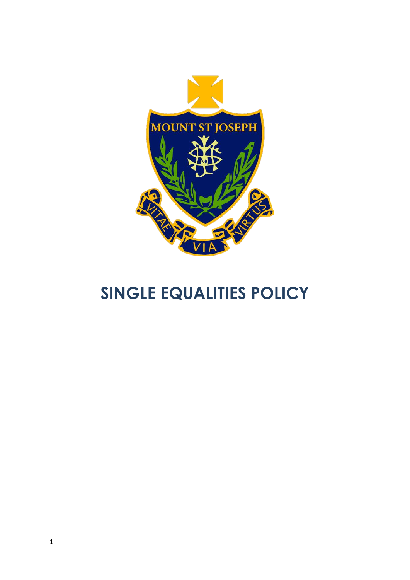

# **SINGLE EQUALITIES POLICY**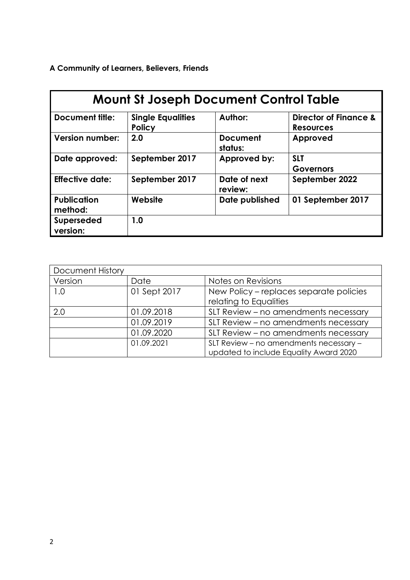**A Community of Learners, Believers, Friends**

| <b>Mount St Joseph Document Control Table</b> |                                           |                            |                                                      |  |
|-----------------------------------------------|-------------------------------------------|----------------------------|------------------------------------------------------|--|
| <b>Document title:</b>                        | <b>Single Equalities</b><br><b>Policy</b> | Author:                    | <b>Director of Finance &amp;</b><br><b>Resources</b> |  |
| <b>Version number:</b>                        | 2.0                                       | <b>Document</b><br>status: | Approved                                             |  |
| Date approved:                                | September 2017                            | Approved by:               | <b>SLT</b><br><b>Governors</b>                       |  |
| <b>Effective date:</b>                        | September 2017                            | Date of next<br>review:    | September 2022                                       |  |
| <b>Publication</b><br>method:                 | Website                                   | Date published             | 01 September 2017                                    |  |
| <b>Superseded</b><br>version:                 | 1.0                                       |                            |                                                      |  |

| <b>Document History</b> |              |                                                                                  |  |
|-------------------------|--------------|----------------------------------------------------------------------------------|--|
| Version                 | Date         | Notes on Revisions                                                               |  |
| 1.0                     | 01 Sept 2017 | New Policy - replaces separate policies<br>relating to Equalities                |  |
| 2.0                     | 01.09.2018   | SLT Review - no amendments necessary                                             |  |
|                         | 01.09.2019   | SLT Review – no amendments necessary                                             |  |
|                         | 01.09.2020   | SLT Review - no amendments necessary                                             |  |
|                         | 01.09.2021   | SLT Review - no amendments necessary -<br>updated to include Equality Award 2020 |  |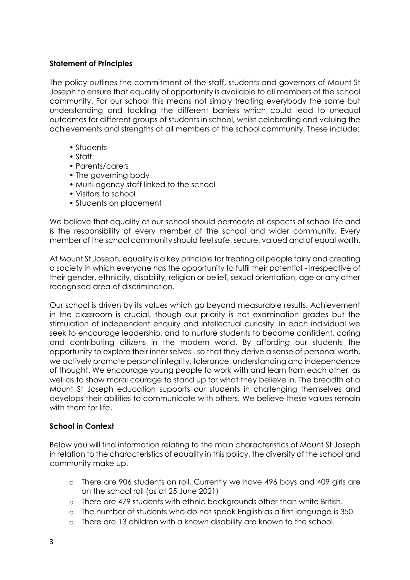## **Statement of Principles**

The policy outlines the commitment of the staff, students and governors of Mount St Joseph to ensure that equality of opportunity is available to all members of the school community. For our school this means not simply treating everybody the same but understanding and tackling the different barriers which could lead to unequal outcomes for different groups of students in school, whilst celebrating and valuing the achievements and strengths of all members of the school community. These include:

- Students
- Staff
- Parents/carers
- The governing body
- Multi-agency staff linked to the school
- Visitors to school
- Students on placement

We believe that equality at our school should permeate all aspects of school life and is the responsibility of every member of the school and wider community. Every member of the school community should feel safe, secure, valued and of equal worth.

At Mount St Joseph, equality is a key principle for treating all people fairly and creating a society in which everyone has the opportunity to fulfil their potential - irrespective of their gender, ethnicity, disability, religion or belief, sexual orientation, age or any other recognised area of discrimination.

Our school is driven by its values which go beyond measurable results. Achievement in the classroom is crucial, though our priority is not examination grades but the stimulation of independent enquiry and intellectual curiosity. In each individual we seek to encourage leadership, and to nurture students to become confident, caring and contributing citizens in the modern world. By affording our students the opportunity to explore their inner selves - so that they derive a sense of personal worth, we actively promote personal integrity, tolerance, understanding and independence of thought. We encourage young people to work with and learn from each other, as well as to show moral courage to stand up for what they believe in. The breadth of a Mount St Joseph education supports our students in challenging themselves and develops their abilities to communicate with others. We believe these values remain with them for life.

#### **School in Context**

Below you will find information relating to the main characteristics of Mount St Joseph in relation to the characteristics of equality in this policy, the diversity of the school and community make up.

- o There are 906 students on roll. Currently we have 496 boys and 409 girls are on the school roll (as at 25 June 2021)
- o There are 479 students with ethnic backgrounds other than white British.
- o The number of students who do not speak English as a first language is 350.
- o There are 13 children with a known disability are known to the school.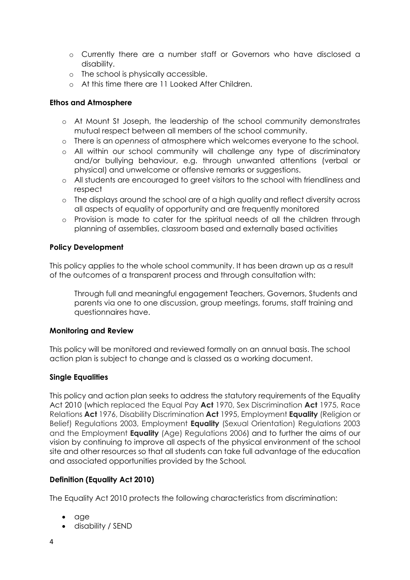- o Currently there are a number staff or Governors who have disclosed a disability.
- o The school is physically accessible.
- o At this time there are 11 Looked After Children.

## **Ethos and Atmosphere**

- o At Mount St Joseph, the leadership of the school community demonstrates mutual respect between all members of the school community.
- o There is an *openness* of atmosphere which welcomes everyone to the school.
- o All within our school community will challenge any type of discriminatory and/or bullying behaviour, e.g. through unwanted attentions (verbal or physical) and unwelcome or offensive remarks or suggestions.
- o All students are encouraged to greet visitors to the school with friendliness and respect
- o The displays around the school are of a high quality and reflect diversity across all aspects of equality of opportunity and are frequently monitored
- o Provision is made to cater for the spiritual needs of all the children through planning of assemblies, classroom based and externally based activities

## **Policy Development**

This policy applies to the whole school community. It has been drawn up as a result of the outcomes of a transparent process and through consultation with:

Through full and meaningful engagement Teachers, Governors, Students and parents via one to one discussion, group meetings, forums, staff training and questionnaires have.

## **Monitoring and Review**

This policy will be monitored and reviewed formally on an annual basis. The school action plan is subject to change and is classed as a working document.

## **Single Equalities**

This policy and action plan seeks to address the statutory requirements of the Equality Act 2010 (which replaced the Equal Pay **Act** 1970, Sex Discrimination **Act** 1975, Race Relations **Act** 1976, Disability Discrimination **Act** 1995, Employment **Equality** (Religion or Belief) Regulations 2003, Employment **Equality** (Sexual Orientation) Regulations 2003 and the Employment **Equality** (Age) Regulations 2006) and to further the aims of our vision by continuing to improve all aspects of the physical environment of the school site and other resources so that all students can take full advantage of the education and associated opportunities provided by the School*.* 

# **Definition (Equality Act 2010)**

The Equality Act 2010 protects the following characteristics from discrimination:

- age
- disability / SEND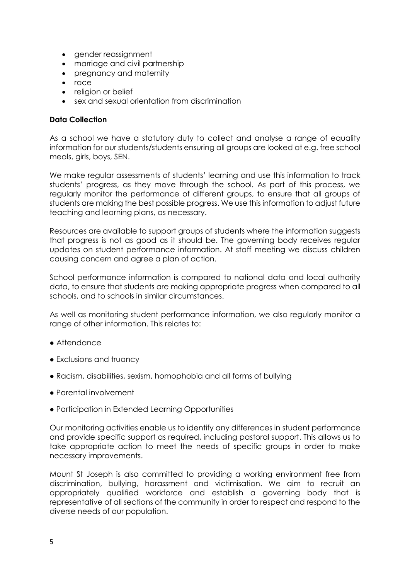- gender reassignment
- marriage and civil partnership
- pregnancy and maternity
- race
- religion or belief
- sex and sexual orientation from discrimination

#### **Data Collection**

As a school we have a statutory duty to collect and analyse a range of equality information for our students/students ensuring all groups are looked at e.g. free school meals, girls, boys, SEN.

We make regular assessments of students' learning and use this information to track students' progress, as they move through the school. As part of this process, we regularly monitor the performance of different groups, to ensure that all groups of students are making the best possible progress. We use this information to adjust future teaching and learning plans, as necessary.

Resources are available to support groups of students where the information suggests that progress is not as good as it should be. The governing body receives regular updates on student performance information. At staff meeting we discuss children causing concern and agree a plan of action.

School performance information is compared to national data and local authority data, to ensure that students are making appropriate progress when compared to all schools, and to schools in similar circumstances.

As well as monitoring student performance information, we also regularly monitor a range of other information. This relates to:

- Attendance
- Exclusions and truancy
- Racism, disabilities, sexism, homophobia and all forms of bullying
- Parental involvement
- Participation in Extended Learning Opportunities

Our monitoring activities enable us to identify any differences in student performance and provide specific support as required, including pastoral support. This allows us to take appropriate action to meet the needs of specific groups in order to make necessary improvements.

Mount St Joseph is also committed to providing a working environment free from discrimination, bullying, harassment and victimisation. We aim to recruit an appropriately qualified workforce and establish a governing body that is representative of all sections of the community in order to respect and respond to the diverse needs of our population.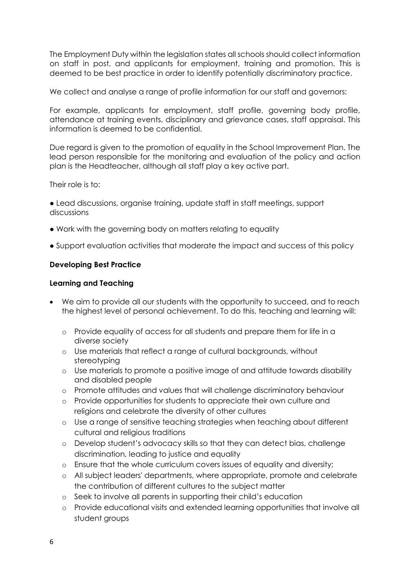The Employment Duty within the legislation states all schools should collect information on staff in post, and applicants for employment, training and promotion. This is deemed to be best practice in order to identify potentially discriminatory practice.

We collect and analyse a range of profile information for our staff and governors:

For example, applicants for employment, staff profile, governing body profile, attendance at training events, disciplinary and grievance cases, staff appraisal. This information is deemed to be confidential.

Due regard is given to the promotion of equality in the School Improvement Plan. The lead person responsible for the monitoring and evaluation of the policy and action plan is the Headteacher, although all staff play a key active part.

Their role is to:

● Lead discussions, organise training, update staff in staff meetings, support discussions

- Work with the governing body on matters relating to equality
- Support evaluation activities that moderate the impact and success of this policy

#### **Developing Best Practice**

#### **Learning and Teaching**

- We aim to provide all our students with the opportunity to succeed, and to reach the highest level of personal achievement. To do this, teaching and learning will:
	- o Provide equality of access for all students and prepare them for life in a diverse society
	- o Use materials that reflect a range of cultural backgrounds, without stereotyping
	- o Use materials to promote a positive image of and attitude towards disability and disabled people
	- o Promote attitudes and values that will challenge discriminatory behaviour
	- o Provide opportunities for students to appreciate their own culture and religions and celebrate the diversity of other cultures
	- o Use a range of sensitive teaching strategies when teaching about different cultural and religious traditions
	- o Develop student's advocacy skills so that they can detect bias, challenge discrimination, leading to justice and equality
	- o Ensure that the whole curriculum covers issues of equality and diversity;
	- o All subject leaders' departments, where appropriate, promote and celebrate the contribution of different cultures to the subject matter
	- o Seek to involve all parents in supporting their child's education
	- o Provide educational visits and extended learning opportunities that involve all student groups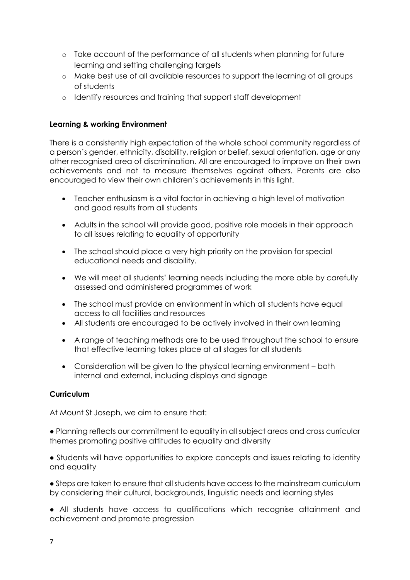- o Take account of the performance of all students when planning for future learning and setting challenging targets
- o Make best use of all available resources to support the learning of all groups of students
- o Identify resources and training that support staff development

## **Learning & working Environment**

There is a consistently high expectation of the whole school community regardless of a person's gender, ethnicity, disability, religion or belief, sexual orientation, age or any other recognised area of discrimination. All are encouraged to improve on their own achievements and not to measure themselves against others. Parents are also encouraged to view their own children's achievements in this light.

- Teacher enthusiasm is a vital factor in achieving a high level of motivation and good results from all students
- Adults in the school will provide good, positive role models in their approach to all issues relating to equality of opportunity
- The school should place a very high priority on the provision for special educational needs and disability.
- We will meet all students' learning needs including the more able by carefully assessed and administered programmes of work
- The school must provide an environment in which all students have equal access to all facilities and resources
- All students are encouraged to be actively involved in their own learning
- A range of teaching methods are to be used throughout the school to ensure that effective learning takes place at all stages for all students
- Consideration will be given to the physical learning environment both internal and external, including displays and signage

## **Curriculum**

At Mount St Joseph, we aim to ensure that:

● Planning reflects our commitment to equality in all subject areas and cross curricular themes promoting positive attitudes to equality and diversity

• Students will have opportunities to explore concepts and issues relating to identity and equality

● Steps are taken to ensure that all students have access to the mainstream curriculum by considering their cultural, backgrounds, linguistic needs and learning styles

● All students have access to qualifications which recognise attainment and achievement and promote progression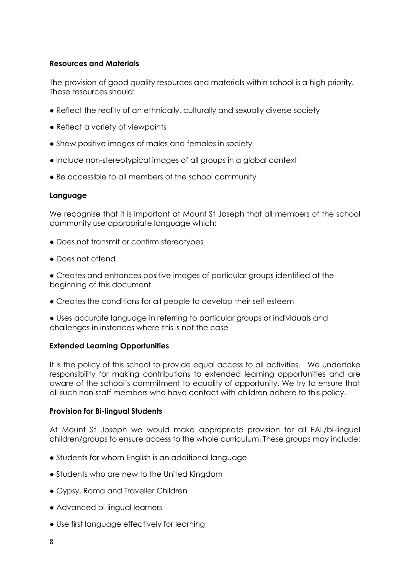#### **Resources and Materials**

The provision of good quality resources and materials within school is a high priority. These resources should:

- Reflect the reality of an ethnically, culturally and sexually diverse society
- Reflect a variety of viewpoints
- Show positive images of males and females in society
- Include non-stereotypical images of all groups in a global context
- Be accessible to all members of the school community

## **Language**

We recognise that it is important at Mount St Joseph that all members of the school community use appropriate language which:

- Does not transmit or confirm stereotypes
- Does not offend

● Creates and enhances positive images of particular groups identified at the beginning of this document

• Creates the conditions for all people to develop their self esteem

● Uses accurate language in referring to particular groups or individuals and challenges in instances where this is not the case

## **Extended Learning Opportunities**

It is the policy of this school to provide equal access to all activities. We undertake responsibility for making contributions to extended learning opportunities and are aware of the school's commitment to equality of opportunity. We try to ensure that all such non-staff members who have contact with children adhere to this policy.

## **Provision for Bi-lingual Students**

At Mount St Joseph we would make appropriate provision for all EAL/bi-lingual children/groups to ensure access to the whole curriculum. These groups may include:

- Students for whom English is an additional language
- Students who are new to the United Kingdom
- Gypsy, Roma and Traveller Children
- Advanced bi-lingual learners
- Use first language effectively for learning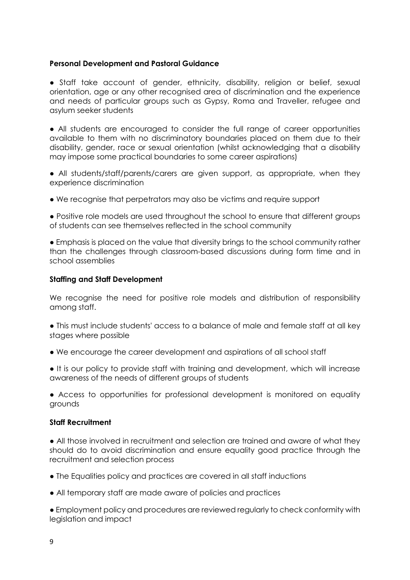#### **Personal Development and Pastoral Guidance**

● Staff take account of gender, ethnicity, disability, religion or belief, sexual orientation, age or any other recognised area of discrimination and the experience and needs of particular groups such as Gypsy, Roma and Traveller, refugee and asylum seeker students

● All students are encouraged to consider the full range of career opportunities available to them with no discriminatory boundaries placed on them due to their disability, gender, race or sexual orientation (whilst acknowledging that a disability may impose some practical boundaries to some career aspirations)

• All students/staff/parents/carers are given support, as appropriate, when they experience discrimination

● We recognise that perpetrators may also be victims and require support

● Positive role models are used throughout the school to ensure that different groups of students can see themselves reflected in the school community

• Emphasis is placed on the value that diversity brings to the school community rather than the challenges through classroom-based discussions during form time and in school assemblies

#### **Staffing and Staff Development**

We recognise the need for positive role models and distribution of responsibility among staff.

- This must include students' access to a balance of male and female staff at all key stages where possible
- We encourage the career development and aspirations of all school staff
- It is our policy to provide staff with training and development, which will increase awareness of the needs of different groups of students

• Access to opportunities for professional development is monitored on equality grounds

## **Staff Recruitment**

● All those involved in recruitment and selection are trained and aware of what they should do to avoid discrimination and ensure equality good practice through the recruitment and selection process

- The Equalities policy and practices are covered in all staff inductions
- All temporary staff are made aware of policies and practices

● Employment policy and procedures are reviewed regularly to check conformity with legislation and impact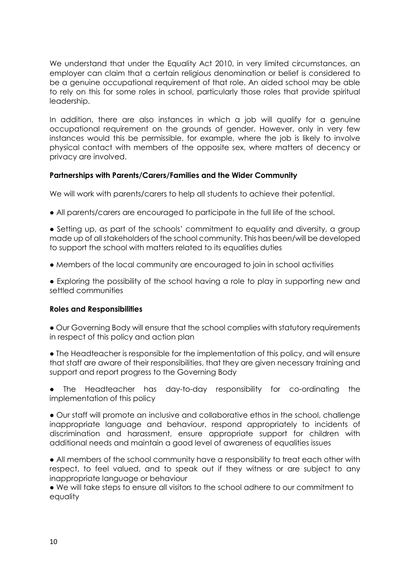We understand that under the Equality Act 2010, in very limited circumstances, an employer can claim that a certain religious denomination or belief is considered to be a genuine occupational requirement of that role. An aided school may be able to rely on this for some roles in school, particularly those roles that provide spiritual leadership.

In addition, there are also instances in which a job will qualify for a genuine occupational requirement on the grounds of gender. However, only in very few instances would this be permissible, for example, where the job is likely to involve physical contact with members of the opposite sex, where matters of decency or privacy are involved.

## **Partnerships with Parents/Carers/Families and the Wider Community**

We will work with parents/carers to help all students to achieve their potential.

● All parents/carers are encouraged to participate in the full life of the school.

• Setting up, as part of the schools' commitment to equality and diversity, a group made up of all stakeholders of the school community. This has been/will be developed to support the school with matters related to its equalities duties

● Members of the local community are encouraged to join in school activities

• Exploring the possibility of the school having a role to play in supporting new and settled communities

#### **Roles and Responsibilities**

● Our Governing Body will ensure that the school complies with statutory requirements in respect of this policy and action plan

• The Headteacher is responsible for the implementation of this policy, and will ensure that staff are aware of their responsibilities, that they are given necessary training and support and report progress to the Governing Body

● The Headteacher has day-to-day responsibility for co-ordinating the implementation of this policy

● Our staff will promote an inclusive and collaborative ethos in the school, challenge inappropriate language and behaviour, respond appropriately to incidents of discrimination and harassment, ensure appropriate support for children with additional needs and maintain a good level of awareness of equalities issues

● All members of the school community have a responsibility to treat each other with respect, to feel valued, and to speak out if they witness or are subject to any inappropriate language or behaviour

● We will take steps to ensure all visitors to the school adhere to our commitment to equality